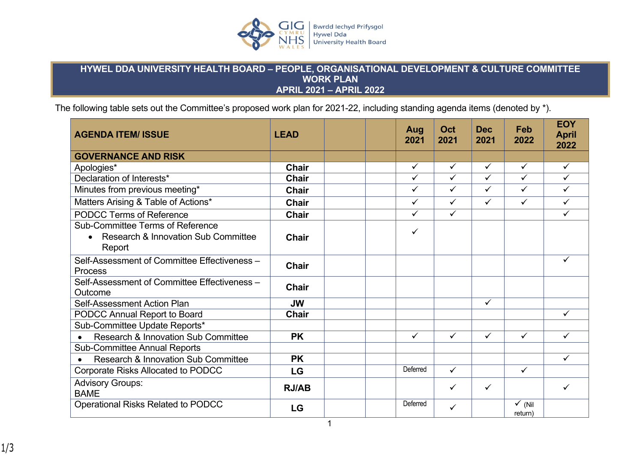

## **HYWEL DDA UNIVERSITY HEALTH BOARD – PEOPLE, ORGANISATIONAL DEVELOPMENT & CULTURE COMMITTEE WORK PLAN APRIL 2021 – APRIL 2022**

The following table sets out the Committee's proposed work plan for 2021-22, including standing agenda items (denoted by \*).

| <b>AGENDA ITEM/ ISSUE</b>                                                                             | <b>LEAD</b>  | Aug<br>2021  | Oct<br>2021             | <b>Dec</b><br>2021 | Feb<br>2022                  | <b>EOY</b><br><b>April</b><br>2022 |
|-------------------------------------------------------------------------------------------------------|--------------|--------------|-------------------------|--------------------|------------------------------|------------------------------------|
| <b>GOVERNANCE AND RISK</b>                                                                            |              |              |                         |                    |                              |                                    |
| Apologies*                                                                                            | <b>Chair</b> | $\checkmark$ | $\checkmark$            | $\checkmark$       | $\checkmark$                 | $\checkmark$                       |
| Declaration of Interests*                                                                             | <b>Chair</b> | $\checkmark$ | $\overline{\checkmark}$ | $\checkmark$       | $\checkmark$                 | ✓                                  |
| Minutes from previous meeting*                                                                        | <b>Chair</b> | $\checkmark$ | $\checkmark$            | $\checkmark$       | $\checkmark$                 | ✓                                  |
| Matters Arising & Table of Actions*                                                                   | <b>Chair</b> | $\checkmark$ | $\checkmark$            | $\checkmark$       | $\checkmark$                 | $\checkmark$                       |
| <b>PODCC Terms of Reference</b>                                                                       | <b>Chair</b> | $\checkmark$ | $\checkmark$            |                    |                              | ✓                                  |
| <b>Sub-Committee Terms of Reference</b><br>Research & Innovation Sub Committee<br>$\bullet$<br>Report | <b>Chair</b> | ✓            |                         |                    |                              |                                    |
| Self-Assessment of Committee Effectiveness -<br><b>Process</b>                                        | <b>Chair</b> |              |                         |                    |                              | ✓                                  |
| Self-Assessment of Committee Effectiveness -<br>Outcome                                               | <b>Chair</b> |              |                         |                    |                              |                                    |
| Self-Assessment Action Plan                                                                           | <b>JW</b>    |              |                         | $\checkmark$       |                              |                                    |
| PODCC Annual Report to Board                                                                          | <b>Chair</b> |              |                         |                    |                              | $\checkmark$                       |
| Sub-Committee Update Reports*                                                                         |              |              |                         |                    |                              |                                    |
| <b>Research &amp; Innovation Sub Committee</b><br>$\bullet$                                           | <b>PK</b>    | $\checkmark$ | ✓                       | $\checkmark$       | $\checkmark$                 | ✓                                  |
| <b>Sub-Committee Annual Reports</b>                                                                   |              |              |                         |                    |                              |                                    |
| <b>Research &amp; Innovation Sub Committee</b><br>$\bullet$                                           | <b>PK</b>    |              |                         |                    |                              | $\checkmark$                       |
| <b>Corporate Risks Allocated to PODCC</b>                                                             | LG           | Deferred     | $\checkmark$            |                    | $\checkmark$                 |                                    |
| <b>Advisory Groups:</b><br><b>BAME</b>                                                                | <b>RJ/AB</b> |              | ✓                       | $\checkmark$       |                              | ✓                                  |
| Operational Risks Related to PODCC                                                                    | <b>LG</b>    | Deferred     | ✓                       |                    | $\checkmark$ (Nil<br>return) |                                    |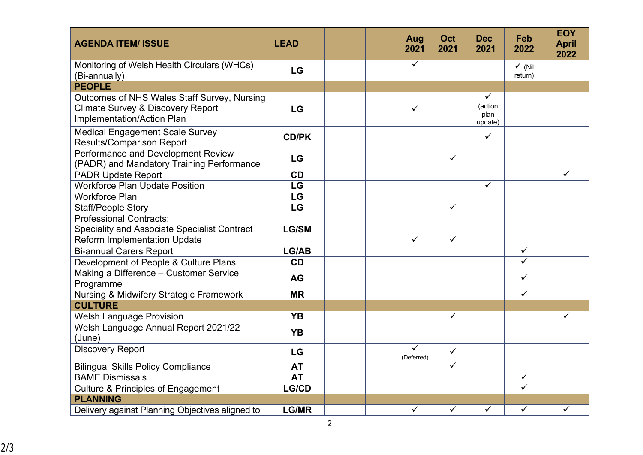| <b>AGENDA ITEM/ ISSUE</b>                                                                                                 | <b>LEAD</b>  |  | Aug<br>2021     | Oct<br>2021             | <b>Dec</b><br>2021              | Feb<br>2022                  | <b>EOY</b><br><b>April</b><br>2022 |
|---------------------------------------------------------------------------------------------------------------------------|--------------|--|-----------------|-------------------------|---------------------------------|------------------------------|------------------------------------|
| Monitoring of Welsh Health Circulars (WHCs)<br>(Bi-annually)                                                              | LG           |  | $\checkmark$    |                         |                                 | $\checkmark$ (Nil<br>return) |                                    |
| <b>PEOPLE</b>                                                                                                             |              |  |                 |                         |                                 |                              |                                    |
| Outcomes of NHS Wales Staff Survey, Nursing<br><b>Climate Survey &amp; Discovery Report</b><br>Implementation/Action Plan | LG           |  | $\checkmark$    |                         | ✓<br>(action<br>plan<br>update) |                              |                                    |
| <b>Medical Engagement Scale Survey</b><br><b>Results/Comparison Report</b>                                                | <b>CD/PK</b> |  |                 |                         | $\checkmark$                    |                              |                                    |
| Performance and Development Review<br>(PADR) and Mandatory Training Performance                                           | LG           |  |                 | $\checkmark$            |                                 |                              |                                    |
| <b>PADR Update Report</b>                                                                                                 | <b>CD</b>    |  |                 |                         |                                 |                              | $\checkmark$                       |
| <b>Workforce Plan Update Position</b>                                                                                     | LG           |  |                 |                         | $\checkmark$                    |                              |                                    |
| <b>Workforce Plan</b>                                                                                                     | LG           |  |                 |                         |                                 |                              |                                    |
| <b>Staff/People Story</b>                                                                                                 | LG           |  |                 | $\overline{\checkmark}$ |                                 |                              |                                    |
| <b>Professional Contracts:</b>                                                                                            |              |  |                 |                         |                                 |                              |                                    |
| <b>Speciality and Associate Specialist Contract</b>                                                                       | <b>LG/SM</b> |  |                 |                         |                                 |                              |                                    |
| <b>Reform Implementation Update</b>                                                                                       |              |  | $\checkmark$    | $\checkmark$            |                                 |                              |                                    |
| <b>Bi-annual Carers Report</b>                                                                                            | LG/AB        |  |                 |                         |                                 | $\overline{\checkmark}$      |                                    |
| Development of People & Culture Plans                                                                                     | CD           |  |                 |                         |                                 | $\checkmark$                 |                                    |
| Making a Difference - Customer Service<br>Programme                                                                       | <b>AG</b>    |  |                 |                         |                                 | $\checkmark$                 |                                    |
| Nursing & Midwifery Strategic Framework                                                                                   | <b>MR</b>    |  |                 |                         |                                 | $\checkmark$                 |                                    |
| <b>CULTURE</b>                                                                                                            |              |  |                 |                         |                                 |                              |                                    |
| <b>Welsh Language Provision</b>                                                                                           | <b>YB</b>    |  |                 | $\checkmark$            |                                 |                              | $\checkmark$                       |
| Welsh Language Annual Report 2021/22<br>(June)                                                                            | <b>YB</b>    |  |                 |                         |                                 |                              |                                    |
| <b>Discovery Report</b>                                                                                                   | LG           |  | ✓<br>(Deferred) | $\checkmark$            |                                 |                              |                                    |
| <b>Bilingual Skills Policy Compliance</b>                                                                                 | <b>AT</b>    |  |                 | $\checkmark$            |                                 |                              |                                    |
| <b>BAME Dismissals</b>                                                                                                    | <b>AT</b>    |  |                 |                         |                                 | $\checkmark$                 |                                    |
| <b>Culture &amp; Principles of Engagement</b>                                                                             | <b>LG/CD</b> |  |                 |                         |                                 | ✓                            |                                    |
| <b>PLANNING</b>                                                                                                           |              |  |                 |                         |                                 |                              |                                    |
| Delivery against Planning Objectives aligned to                                                                           | <b>LG/MR</b> |  | $\checkmark$    | $\checkmark$            | $\checkmark$                    | $\checkmark$                 | ✓                                  |